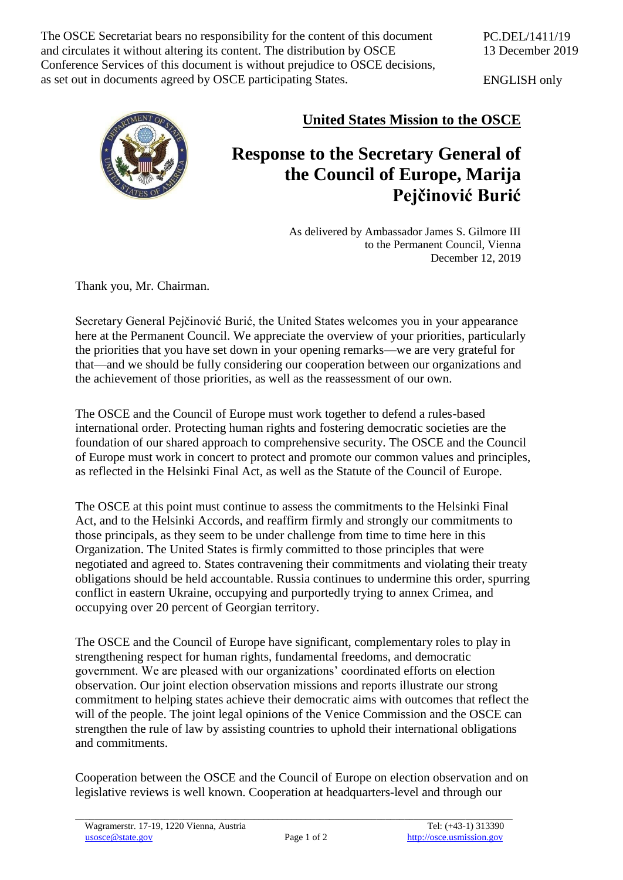and circulates it without altering its content. The distribution by OSCE The OSCE Secretariat bears no responsibility for the content of this document Conference Services of this document is without prejudice to OSCE decisions, as set out in documents agreed by OSCE participating States.

ENGLISH only



## **United States Mission to the OSCE**

## **Response to the Secretary General of the Council of Europe, Marija Pejčinović Burić**

As delivered by Ambassador James S. Gilmore III to the Permanent Council, Vienna December 12, 2019

Thank you, Mr. Chairman.

Secretary General Pejčinović Burić, the United States welcomes you in your appearance here at the Permanent Council. We appreciate the overview of your priorities, particularly the priorities that you have set down in your opening remarks—we are very grateful for that—and we should be fully considering our cooperation between our organizations and the achievement of those priorities, as well as the reassessment of our own.

The OSCE and the Council of Europe must work together to defend a rules-based international order. Protecting human rights and fostering democratic societies are the foundation of our shared approach to comprehensive security. The OSCE and the Council of Europe must work in concert to protect and promote our common values and principles, as reflected in the Helsinki Final Act, as well as the Statute of the Council of Europe.

The OSCE at this point must continue to assess the commitments to the Helsinki Final Act, and to the Helsinki Accords, and reaffirm firmly and strongly our commitments to those principals, as they seem to be under challenge from time to time here in this Organization. The United States is firmly committed to those principles that were negotiated and agreed to. States contravening their commitments and violating their treaty obligations should be held accountable. Russia continues to undermine this order, spurring conflict in eastern Ukraine, occupying and purportedly trying to annex Crimea, and occupying over 20 percent of Georgian territory.

The OSCE and the Council of Europe have significant, complementary roles to play in strengthening respect for human rights, fundamental freedoms, and democratic government. We are pleased with our organizations' coordinated efforts on election observation. Our joint election observation missions and reports illustrate our strong commitment to helping states achieve their democratic aims with outcomes that reflect the will of the people. The joint legal opinions of the Venice Commission and the OSCE can strengthen the rule of law by assisting countries to uphold their international obligations and commitments.

Cooperation between the OSCE and the Council of Europe on election observation and on legislative reviews is well known. Cooperation at headquarters-level and through our